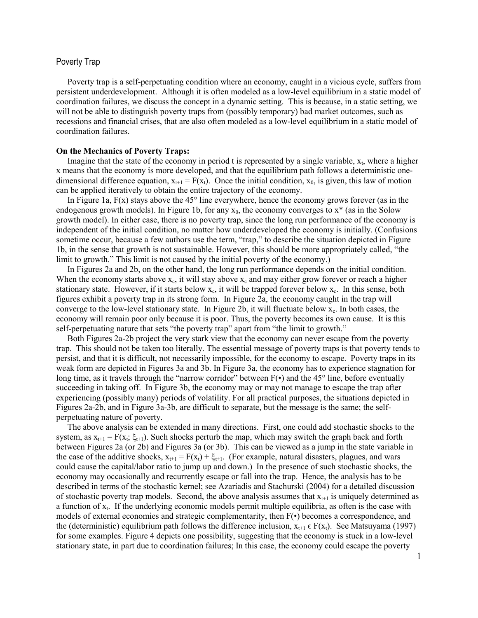# Poverty Trap

Poverty trap is a self-perpetuating condition where an economy, caught in a vicious cycle, suffers from persistent underdevelopment. Although it is often modeled as a low-level equilibrium in a static model of coordination failures, we discuss the concept in a dynamic setting. This is because, in a static setting, we will not be able to distinguish poverty traps from (possibly temporary) bad market outcomes, such as recessions and financial crises, that are also often modeled as a low-level equilibrium in a static model of coordination failures.

### **On the Mechanics of Poverty Traps:**

Imagine that the state of the economy in period t is represented by a single variable,  $x<sub>t</sub>$ , where a higher x means that the economy is more developed, and that the equilibrium path follows a deterministic onedimensional difference equation,  $x_{t+1} = F(x_t)$ . Once the initial condition,  $x_0$ , is given, this law of motion can be applied iteratively to obtain the entire trajectory of the economy.

In Figure 1a, F(x) stays above the 45° line everywhere, hence the economy grows forever (as in the endogenous growth models). In Figure 1b, for any  $x_0$ , the economy converges to  $x^*$  (as in the Solow growth model). In either case, there is no poverty trap, since the long run performance of the economy is independent of the initial condition, no matter how underdeveloped the economy is initially. (Confusions sometime occur, because a few authors use the term, "trap," to describe the situation depicted in Figure 1b, in the sense that growth is not sustainable. However, this should be more appropriately called, "the limit to growth." This limit is not caused by the initial poverty of the economy.)

In Figures 2a and 2b, on the other hand, the long run performance depends on the initial condition. When the economy starts above  $x_c$ , it will stay above  $x_c$  and may either grow forever or reach a higher stationary state. However, if it starts below  $x_c$ , it will be trapped forever below  $x_c$ . In this sense, both figures exhibit a poverty trap in its strong form. In Figure 2a, the economy caught in the trap will converge to the low-level stationary state. In Figure 2b, it will fluctuate below  $x_c$ . In both cases, the economy will remain poor only because it is poor. Thus, the poverty becomes its own cause. It is this self-perpetuating nature that sets "the poverty trap" apart from "the limit to growth."

Both Figures 2a-2b project the very stark view that the economy can never escape from the poverty trap. This should not be taken too literally. The essential message of poverty traps is that poverty tends to persist, and that it is difficult, not necessarily impossible, for the economy to escape. Poverty traps in its weak form are depicted in Figures 3a and 3b. In Figure 3a, the economy has to experience stagnation for long time, as it travels through the "narrow corridor" between F(•) and the 45° line, before eventually succeeding in taking off. In Figure 3b, the economy may or may not manage to escape the trap after experiencing (possibly many) periods of volatility. For all practical purposes, the situations depicted in Figures 2a-2b, and in Figure 3a-3b, are difficult to separate, but the message is the same; the selfperpetuating nature of poverty.

The above analysis can be extended in many directions. First, one could add stochastic shocks to the system, as  $x_{t+1} = F(x_t; \xi_{t+1})$ . Such shocks perturb the map, which may switch the graph back and forth between Figures 2a (or 2b) and Figures 3a (or 3b). This can be viewed as a jump in the state variable in the case of the additive shocks,  $x_{t+1} = F(x_t) + \xi_{t+1}$ . (For example, natural disasters, plagues, and wars could cause the capital/labor ratio to jump up and down.) In the presence of such stochastic shocks, the economy may occasionally and recurrently escape or fall into the trap. Hence, the analysis has to be described in terms of the stochastic kernel; see Azariadis and Stachurski (2004) for a detailed discussion of stochastic poverty trap models. Second, the above analysis assumes that  $x_{t+1}$  is uniquely determined as a function of  $x_t$ . If the underlying economic models permit multiple equilibria, as often is the case with models of external economies and strategic complementarity, then F(•) becomes a correspondence, and the (deterministic) equilibrium path follows the difference inclusion,  $x_{t+1} \in F(x_t)$ . See Matsuyama (1997) for some examples. Figure 4 depicts one possibility, suggesting that the economy is stuck in a low-level stationary state, in part due to coordination failures; In this case, the economy could escape the poverty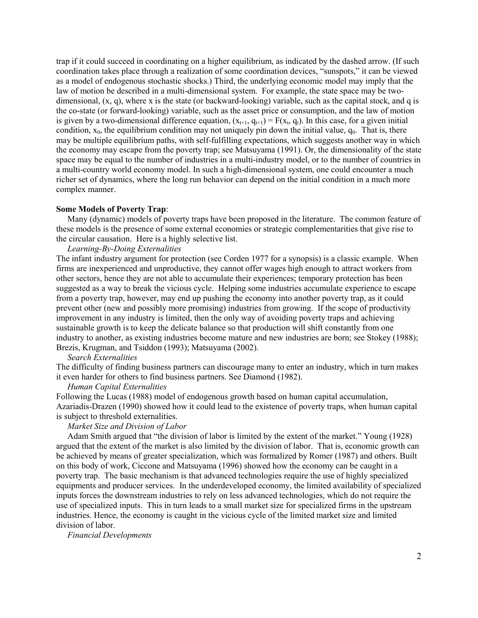trap if it could succeed in coordinating on a higher equilibrium, as indicated by the dashed arrow. (If such coordination takes place through a realization of some coordination devices, "sunspots," it can be viewed as a model of endogenous stochastic shocks.) Third, the underlying economic model may imply that the law of motion be described in a multi-dimensional system. For example, the state space may be twodimensional, (x, q), where x is the state (or backward-looking) variable, such as the capital stock, and q is the co-state (or forward-looking) variable, such as the asset price or consumption, and the law of motion is given by a two-dimensional difference equation,  $(x_{t+1}, q_{t+1}) = F(x_t, q_t)$ . In this case, for a given initial condition,  $x_0$ , the equilibrium condition may not uniquely pin down the initial value,  $q_0$ . That is, there may be multiple equilibrium paths, with self-fulfilling expectations, which suggests another way in which the economy may escape from the poverty trap; see Matsuyama (1991). Or, the dimensionality of the state space may be equal to the number of industries in a multi-industry model, or to the number of countries in a multi-country world economy model. In such a high-dimensional system, one could encounter a much richer set of dynamics, where the long run behavior can depend on the initial condition in a much more complex manner.

#### **Some Models of Poverty Trap**:

Many (dynamic) models of poverty traps have been proposed in the literature. The common feature of these models is the presence of some external economies or strategic complementarities that give rise to the circular causation. Here is a highly selective list.

## *Learning-By-Doing Externalities*

The infant industry argument for protection (see Corden 1977 for a synopsis) is a classic example. When firms are inexperienced and unproductive, they cannot offer wages high enough to attract workers from other sectors, hence they are not able to accumulate their experiences; temporary protection has been suggested as a way to break the vicious cycle. Helping some industries accumulate experience to escape from a poverty trap, however, may end up pushing the economy into another poverty trap, as it could prevent other (new and possibly more promising) industries from growing. If the scope of productivity improvement in any industry is limited, then the only way of avoiding poverty traps and achieving sustainable growth is to keep the delicate balance so that production will shift constantly from one industry to another, as existing industries become mature and new industries are born; see Stokey (1988); Brezis, Krugman, and Tsiddon (1993); Matsuyama (2002).

#### *Search Externalities*

The difficulty of finding business partners can discourage many to enter an industry, which in turn makes it even harder for others to find business partners. See Diamond (1982).

## *Human Capital Externalities*

Following the Lucas (1988) model of endogenous growth based on human capital accumulation, Azariadis-Drazen (1990) showed how it could lead to the existence of poverty traps, when human capital is subject to threshold externalities.

### *Market Size and Division of Labor*

Adam Smith argued that "the division of labor is limited by the extent of the market." Young (1928) argued that the extent of the market is also limited by the division of labor. That is, economic growth can be achieved by means of greater specialization, which was formalized by Romer (1987) and others. Built on this body of work, Ciccone and Matsuyama (1996) showed how the economy can be caught in a poverty trap. The basic mechanism is that advanced technologies require the use of highly specialized equipments and producer services. In the underdeveloped economy, the limited availability of specialized inputs forces the downstream industries to rely on less advanced technologies, which do not require the use of specialized inputs. This in turn leads to a small market size for specialized firms in the upstream industries. Hence, the economy is caught in the vicious cycle of the limited market size and limited division of labor.

*Financial Developments*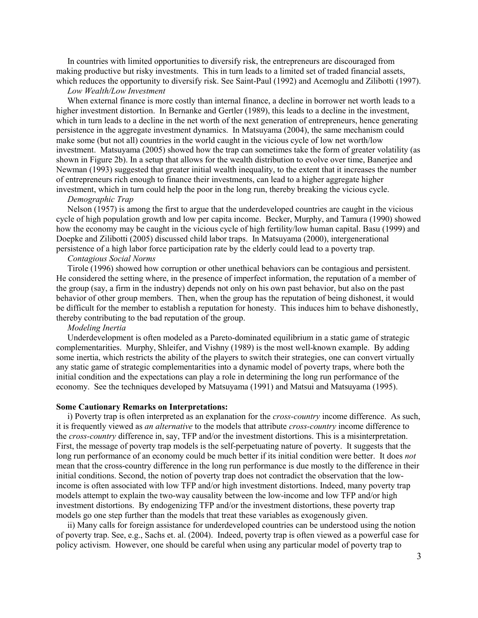In countries with limited opportunities to diversify risk, the entrepreneurs are discouraged from making productive but risky investments. This in turn leads to a limited set of traded financial assets, which reduces the opportunity to diversify risk. See Saint-Paul (1992) and Acemoglu and Zilibotti (1997).

### *Low Wealth/Low Investment*

When external finance is more costly than internal finance, a decline in borrower net worth leads to a higher investment distortion. In Bernanke and Gertler (1989), this leads to a decline in the investment, which in turn leads to a decline in the net worth of the next generation of entrepreneurs, hence generating persistence in the aggregate investment dynamics. In Matsuyama (2004), the same mechanism could make some (but not all) countries in the world caught in the vicious cycle of low net worth/low investment. Matsuyama (2005) showed how the trap can sometimes take the form of greater volatility (as shown in Figure 2b). In a setup that allows for the wealth distribution to evolve over time, Banerjee and Newman (1993) suggested that greater initial wealth inequality, to the extent that it increases the number of entrepreneurs rich enough to finance their investments, can lead to a higher aggregate higher investment, which in turn could help the poor in the long run, thereby breaking the vicious cycle.

#### *Demographic Trap*

Nelson (1957) is among the first to argue that the underdeveloped countries are caught in the vicious cycle of high population growth and low per capita income. Becker, Murphy, and Tamura (1990) showed how the economy may be caught in the vicious cycle of high fertility/low human capital. Basu (1999) and Doepke and Zilibotti (2005) discussed child labor traps. In Matsuyama (2000), intergenerational persistence of a high labor force participation rate by the elderly could lead to a poverty trap.

# *Contagious Social Norms*

Tirole (1996) showed how corruption or other unethical behaviors can be contagious and persistent. He considered the setting where, in the presence of imperfect information, the reputation of a member of the group (say, a firm in the industry) depends not only on his own past behavior, but also on the past behavior of other group members. Then, when the group has the reputation of being dishonest, it would be difficult for the member to establish a reputation for honesty. This induces him to behave dishonestly, thereby contributing to the bad reputation of the group.

#### *Modeling Inertia*

Underdevelopment is often modeled as a Pareto-dominated equilibrium in a static game of strategic complementarities. Murphy, Shleifer, and Vishny (1989) is the most well-known example. By adding some inertia, which restricts the ability of the players to switch their strategies, one can convert virtually any static game of strategic complementarities into a dynamic model of poverty traps, where both the initial condition and the expectations can play a role in determining the long run performance of the economy. See the techniques developed by Matsuyama (1991) and Matsui and Matsuyama (1995).

#### **Some Cautionary Remarks on Interpretations:**

i) Poverty trap is often interpreted as an explanation for the *cross-country* income difference. As such, it is frequently viewed as *an alternative* to the models that attribute *cross-country* income difference to the *cross-country* difference in, say, TFP and/or the investment distortions. This is a misinterpretation. First, the message of poverty trap models is the self-perpetuating nature of poverty. It suggests that the long run performance of an economy could be much better if its initial condition were better. It does *not* mean that the cross-country difference in the long run performance is due mostly to the difference in their initial conditions. Second, the notion of poverty trap does not contradict the observation that the lowincome is often associated with low TFP and/or high investment distortions. Indeed, many poverty trap models attempt to explain the two-way causality between the low-income and low TFP and/or high investment distortions. By endogenizing TFP and/or the investment distortions, these poverty trap models go one step further than the models that treat these variables as exogenously given.

ii) Many calls for foreign assistance for underdeveloped countries can be understood using the notion of poverty trap. See, e.g., Sachs et. al. (2004). Indeed, poverty trap is often viewed as a powerful case for policy activism. However, one should be careful when using any particular model of poverty trap to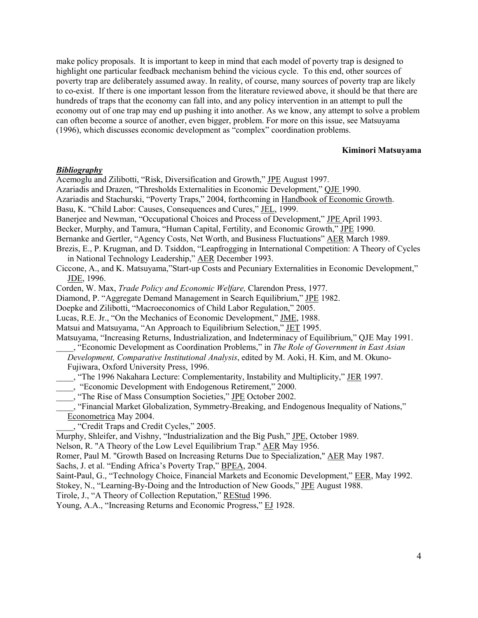make policy proposals. It is important to keep in mind that each model of poverty trap is designed to highlight one particular feedback mechanism behind the vicious cycle. To this end, other sources of poverty trap are deliberately assumed away. In reality, of course, many sources of poverty trap are likely to co-exist. If there is one important lesson from the literature reviewed above, it should be that there are hundreds of traps that the economy can fall into, and any policy intervention in an attempt to pull the economy out of one trap may end up pushing it into another. As we know, any attempt to solve a problem can often become a source of another, even bigger, problem. For more on this issue, see Matsuyama (1996), which discusses economic development as "complex" coordination problems.

### **Kiminori Matsuyama**

## *Bibliography*

Acemoglu and Zilibotti, "Risk, Diversification and Growth," JPE August 1997.

Azariadis and Drazen, "Thresholds Externalities in Economic Development," QJE 1990.

Azariadis and Stachurski, "Poverty Traps," 2004, forthcoming in Handbook of Economic Growth.

Basu, K. "Child Labor: Causes, Consequences and Cures," JEL, 1999.

Banerjee and Newman, "Occupational Choices and Process of Development," JPE April 1993.

Becker, Murphy, and Tamura, "Human Capital, Fertility, and Economic Growth," JPE 1990.

Bernanke and Gertler, "Agency Costs, Net Worth, and Business Fluctuations" AER March 1989.

Brezis, E., P. Krugman, and D. Tsiddon, "Leapfrogging in International Competition: A Theory of Cycles in National Technology Leadership," AER December 1993.

Ciccone, A., and K. Matsuyama,"Start-up Costs and Pecuniary Externalities in Economic Development," JDE, 1996.

Corden, W. Max, *Trade Policy and Economic Welfare,* Clarendon Press, 1977.

Diamond, P. "Aggregate Demand Management in Search Equilibrium," JPE 1982.

Doepke and Zilibotti, "Macroeconomics of Child Labor Regulation," 2005.

Lucas, R.E. Jr., "On the Mechanics of Economic Development," JME, 1988.

Matsui and Matsuyama, "An Approach to Equilibrium Selection," JET 1995.

Matsuyama, "Increasing Returns, Industrialization, and Indeterminacy of Equilibrium," QJE May 1991. \_\_\_\_, "Economic Development as Coordination Problems," in *The Role of Government in East Asian*

*Development, Comparative Institutional Analysis*, edited by M. Aoki, H. Kim, and M. Okuno-

Fujiwara, Oxford University Press, 1996.

\_\_\_\_, "The 1996 Nakahara Lecture: Complementarity, Instability and Multiplicity," JER 1997.

\_\_\_\_, "Economic Development with Endogenous Retirement," 2000.

The Rise of Mass Consumption Societies," JPE October 2002.

The Rise of Mass Consumption Societies, <u>312</u> Servest 2008.<br>
"Financial Market Globalization, Symmetry-Breaking, and Endogenous Inequality of Nations," Econometrica May 2004.

\_\_\_\_, "Credit Traps and Credit Cycles," 2005.

Murphy, Shleifer, and Vishny, "Industrialization and the Big Push," JPE, October 1989.

Nelson, R. "A Theory of the Low Level Equilibrium Trap." AER May 1956.

Romer, Paul M. "Growth Based on Increasing Returns Due to Specialization," AER May 1987.

Sachs, J. et al. "Ending Africa's Poverty Trap," **BPEA**, 2004.

Saint-Paul, G., "Technology Choice, Financial Markets and Economic Development," EER, May 1992.

Stokey, N., "Learning-By-Doing and the Introduction of New Goods," JPE August 1988.

Tirole, J., "A Theory of Collection Reputation," REStud 1996.

Young, A.A., "Increasing Returns and Economic Progress," EJ 1928.